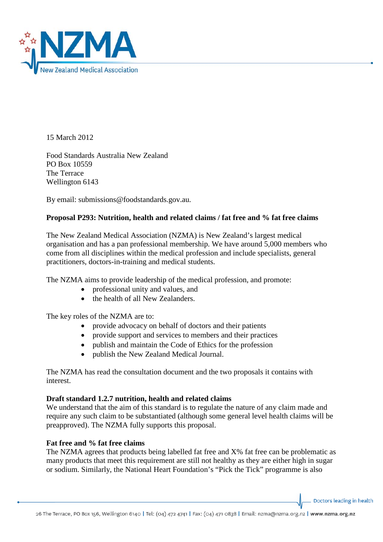

15 March 2012

Food Standards Australia New Zealand PO Box 10559 The Terrace Wellington 6143

By email: submissions@foodstandards.gov.au.

## **Proposal P293: Nutrition, health and related claims / fat free and % fat free claims**

The New Zealand Medical Association (NZMA) is New Zealand's largest medical organisation and has a pan professional membership. We have around 5,000 members who come from all disciplines within the medical profession and include specialists, general practitioners, doctors-in-training and medical students.

The NZMA aims to provide leadership of the medical profession, and promote:

- professional unity and values, and
- the health of all New Zealanders.

The key roles of the NZMA are to:

- provide advocacy on behalf of doctors and their patients
- provide support and services to members and their practices
- publish and maintain the Code of Ethics for the profession
- publish the New Zealand Medical Journal.

The NZMA has read the consultation document and the two proposals it contains with interest.

## **Draft standard 1.2.7 nutrition, health and related claims**

We understand that the aim of this standard is to regulate the nature of any claim made and require any such claim to be substantiated (although some general level health claims will be preapproved). The NZMA fully supports this proposal.

## **Fat free and % fat free claims**

The NZMA agrees that products being labelled fat free and X% fat free can be problematic as many products that meet this requirement are still not healthy as they are either high in sugar or sodium. Similarly, the National Heart Foundation's "Pick the Tick" programme is also

Doctors leading in health